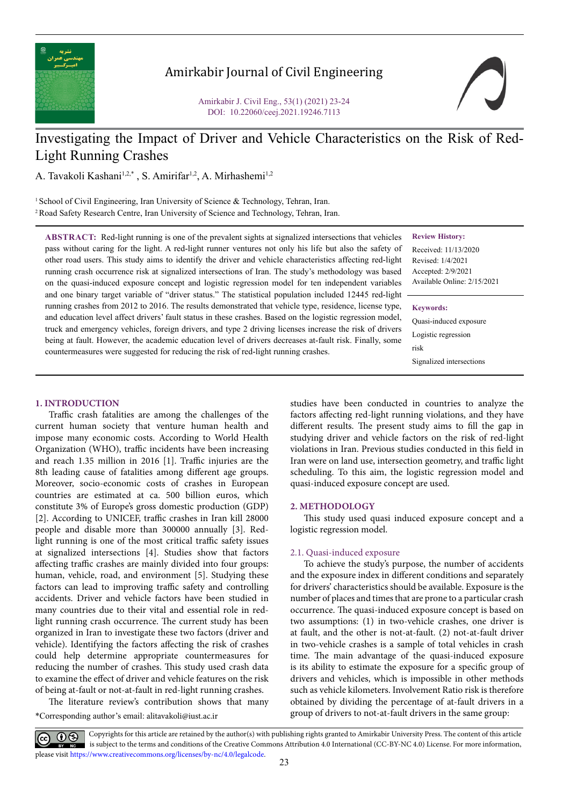

## Amirkabir Journal of Civil Engineering

Amirkabir J. Civil Eng., 53(1) (2021) 23-24 DOI: 10.22060/ceej.2021.19246.7113



# Investigating the Impact of Driver and Vehicle Characteristics on the Risk of Red-Light Running Crashes

A. Tavakoli Kashani<sup>1,2,\*</sup>, S. Amirifar<sup>1,2</sup>, A. Mirhashemi<sup>1,2</sup>

<sup>1</sup> School of Civil Engineering, Iran University of Science & Technology, Tehran, Iran. 2 Road Safety Research Centre, Iran University of Science and Technology, Tehran, Iran.

countermeasures were suggested for reducing the risk of red-light running crashes.

**ABSTRACT:** Red-light running is one of the prevalent sights at signalized intersections that vehicles pass without caring for the light. A red-light runner ventures not only his life but also the safety of other road users. This study aims to identify the driver and vehicle characteristics affecting red-light running crash occurrence risk at signalized intersections of Iran. The study's methodology was based on the quasi-induced exposure concept and logistic regression model for ten independent variables and one binary target variable of "driver status." The statistical population included 12445 red-light running crashes from 2012 to 2016. The results demonstrated that vehicle type, residence, license type, and education level affect drivers' fault status in these crashes. Based on the logistic regression model, truck and emergency vehicles, foreign drivers, and type 2 driving licenses increase the risk of drivers being at fault. However, the academic education level of drivers decreases at-fault risk. Finally, some **Review History:**

Received: 11/13/2020 Revised: 1/4/2021 Accepted: 2/9/2021 Available Online: 2/15/2021

**Keywords:**

Quasi-induced exposure Logistic regression risk Signalized intersections

**1. INTRODUCTION**

Traffic crash fatalities are among the challenges of the current human society that venture human health and impose many economic costs. According to World Health Organization (WHO), traffic incidents have been increasing and reach 1.35 million in 2016 [1]. Traffic injuries are the 8th leading cause of fatalities among different age groups. Moreover, socio-economic costs of crashes in European countries are estimated at ca. 500 billion euros, which constitute 3% of Europe's gross domestic production (GDP) [2]. According to UNICEF, traffic crashes in Iran kill 28000 people and disable more than 300000 annually [3]. Redlight running is one of the most critical traffic safety issues at signalized intersections [4]. Studies show that factors affecting traffic crashes are mainly divided into four groups: human, vehicle, road, and environment [5]. Studying these factors can lead to improving traffic safety and controlling accidents. Driver and vehicle factors have been studied in many countries due to their vital and essential role in redlight running crash occurrence. The current study has been organized in Iran to investigate these two factors (driver and vehicle). Identifying the factors affecting the risk of crashes could help determine appropriate countermeasures for reducing the number of crashes. This study used crash data to examine the effect of driver and vehicle features on the risk of being at-fault or not-at-fault in red-light running crashes.

The literature review's contribution shows that many

\*Corresponding author's email: alitavakoli@iust.ac.ir

studies have been conducted in countries to analyze the factors affecting red-light running violations, and they have different results. The present study aims to fill the gap in studying driver and vehicle factors on the risk of red-light violations in Iran. Previous studies conducted in this field in Iran were on land use, intersection geometry, and traffic light scheduling. To this aim, the logistic regression model and quasi-induced exposure concept are used.

### **2. METHODOLOGY**

This study used quasi induced exposure concept and a logistic regression model.

### 2.1. Quasi-induced exposure

To achieve the study's purpose, the number of accidents and the exposure index in different conditions and separately for drivers' characteristics should be available. Exposure is the number of places and times that are prone to a particular crash occurrence. The quasi-induced exposure concept is based on two assumptions: (1) in two-vehicle crashes, one driver is at fault, and the other is not-at-fault. (2) not-at-fault driver in two-vehicle crashes is a sample of total vehicles in crash time. The main advantage of the quasi-induced exposure is its ability to estimate the exposure for a specific group of drivers and vehicles, which is impossible in other methods such as vehicle kilometers. Involvement Ratio risk is therefore obtained by dividing the percentage of at-fault drivers in a group of drivers to not-at-fault drivers in the same group:

Copyrights for this article are retained by the author(s) with publishing rights granted to Amirkabir University Press. The content of this article is subject to the terms and conditions of the Creative Commons Attribution 4.0 International (CC-BY-NC 4.0) License. For more information, please visit https://www.creativecommons.org/licenses/by-nc/4.0/legalcode.